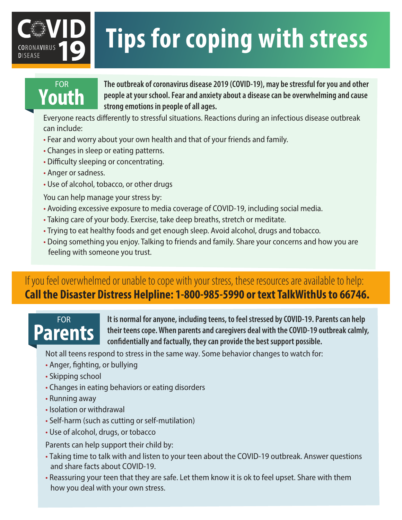# **Tips for coping with stress**

## FOR **Youth**

**DISEASE** 

**The outbreak of coronavirus disease 2019 (COVID-19), may be stressful for you and other people at your school. Fear and anxiety about a disease can be overwhelming and cause strong emotions in people of all ages.** 

Everyone reacts differently to stressful situations. Reactions during an infectious disease outbreak can include:

- Fear and worry about your own health and that of your friends and family.
- Changes in sleep or eating patterns.
- Difficulty sleeping or concentrating.
- Anger or sadness.
- Use of alcohol, tobacco, or other drugs

You can help manage your stress by:

- Avoiding excessive exposure to media coverage of COVID-19, including social media.
- Taking care of your body. Exercise, take deep breaths, stretch or meditate.
- Trying to eat healthy foods and get enough sleep. Avoid alcohol, drugs and tobacco.
- Doing something you enjoy. Talking to friends and family. Share your concerns and how you are feeling with someone you trust.

## If you feel overwhelmed or unable to cope with your stress, these resources are available to help: **Call the Disaster Distress Helpline: 1-800-985-5990 or text TalkWithUs to 66746.**

## FOR **Parents**

**It is normal for anyone, including teens, to feel stressed by COVID-19. Parents can help their teens cope.When parents and caregivers deal with the COVID-19 outbreak calmly, confidentially and factually, they can provide the best support possible.** 

Not all teens respond to stress in the same way. Some behavior changes to watch for:

- Anger, fighting, or bullying
- Skipping school
- Changes in eating behaviors or eating disorders
- Running away
- Isolation or withdrawal
- Self-harm (such as cutting or self-mutilation)
- Use of alcohol, drugs, or tobacco

Parents can help support their child by:

- Taking time to talk with and listen to your teen about the COVID-19 outbreak. Answer questions and share facts about COVID-19.
- Reassuring your teen that they are safe. Let them know it is ok to feel upset. Share with them how you deal with your own stress.